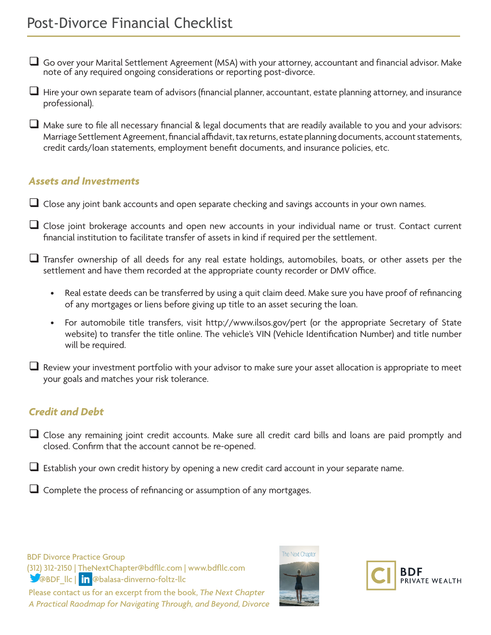- $\Box$  Go over your Marital Settlement Agreement (MSA) with your attorney, accountant and financial advisor. Make note of any required ongoing considerations or reporting post-divorce.
- $\Box$  Hire your own separate team of advisors (financial planner, accountant, estate planning attorney, and insurance professional).
- $\Box$  Make sure to file all necessary financial & legal documents that are readily available to you and your advisors: Marriage Settlement Agreement, financial affidavit, tax returns, estate planning documents, account statements, credit cards/loan statements, employment benefit documents, and insurance policies, etc.

### *Assets and Investments*

- Close any joint bank accounts and open separate checking and savings accounts in your own names.
- $\Box$  Close joint brokerage accounts and open new accounts in your individual name or trust. Contact current financial institution to facilitate transfer of assets in kind if required per the settlement.
- Transfer ownership of all deeds for any real estate holdings, automobiles, boats, or other assets per the settlement and have them recorded at the appropriate county recorder or DMV office.
	- Real estate deeds can be transferred by using a quit claim deed. Make sure you have proof of refinancing of any mortgages or liens before giving up title to an asset securing the loan.
	- For automobile title transfers, visit http://www.ilsos.gov/pert (or the appropriate Secretary of State website) to transfer the title online. The vehicle's VIN (Vehicle Identification Number) and title number will be required.
- Review your investment portfolio with your advisor to make sure your asset allocation is appropriate to meet your goals and matches your risk tolerance.

## *Credit and Debt*

- Close any remaining joint credit accounts. Make sure all credit card bills and loans are paid promptly and closed. Confirm that the account cannot be re-opened.
- Establish your own credit history by opening a new credit card account in your separate name.
- Complete the process of refinancing or assumption of any mortgages.

BDF Divorce Practice Group (312) 312-2150 | TheNextChapter@bdfllc.com | www.bdfllc.com **SO**@BDF\_llc | in @balasa-dinverno-foltz-llc Please contact us for an excerpt from the book, *The Next Chapter* 

*A Practical Raodmap for Navigating Through, and Beyond, Divorce*





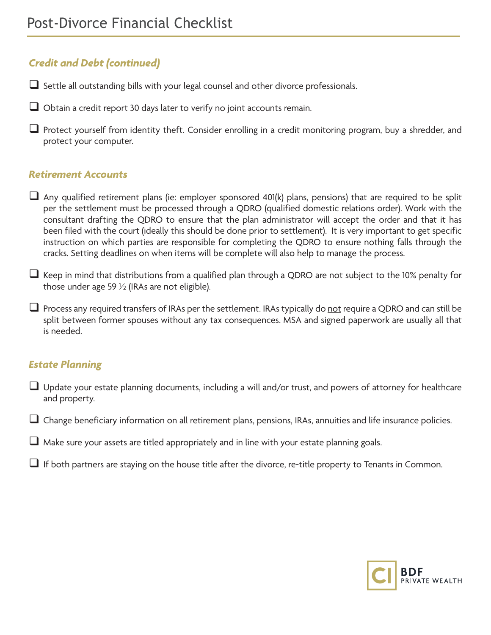# *Credit and Debt (continued)*

Settle all outstanding bills with your legal counsel and other divorce professionals.

Obtain a credit report 30 days later to verify no joint accounts remain.

**L** Protect yourself from identity theft. Consider enrolling in a credit monitoring program, buy a shredder, and protect your computer.

### *Retirement Accounts*

- $\Box$  Any qualified retirement plans (ie: employer sponsored 401(k) plans, pensions) that are required to be split per the settlement must be processed through a QDRO (qualified domestic relations order). Work with the consultant drafting the QDRO to ensure that the plan administrator will accept the order and that it has been filed with the court (ideally this should be done prior to settlement). It is very important to get specific instruction on which parties are responsible for completing the QDRO to ensure nothing falls through the cracks. Setting deadlines on when items will be complete will also help to manage the process.
- $\Box$  Keep in mind that distributions from a qualified plan through a QDRO are not subject to the 10% penalty for those under age 59  $\frac{1}{2}$  (IRAs are not eligible).
- $\Box$  Process any required transfers of IRAs per the settlement. IRAs typically do not require a QDRO and can still be split between former spouses without any tax consequences. MSA and signed paperwork are usually all that is needed.

## *Estate Planning*

- Update your estate planning documents, including a will and/or trust, and powers of attorney for healthcare and property.
- Change beneficiary information on all retirement plans, pensions, IRAs, annuities and life insurance policies.
- $\Box$  Make sure your assets are titled appropriately and in line with your estate planning goals.
- If both partners are staying on the house title after the divorce, re-title property to Tenants in Common.